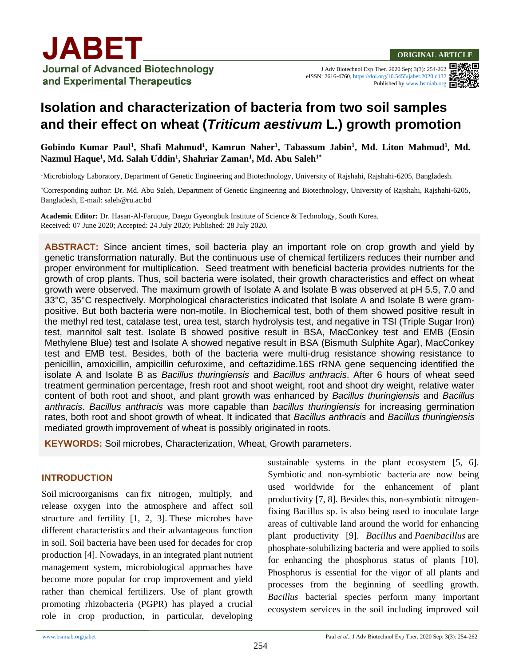

# **Isolation and characterization of bacteria from two soil samples and their effect on wheat (***Triticum aestivum* **L.) growth promotion**

**Gobindo Kumar Paul<sup>1</sup> , Shafi Mahmud<sup>1</sup> , Kamrun Naher<sup>1</sup> , Tabassum Jabin<sup>1</sup> , Md. Liton Mahmud<sup>1</sup> , Md. Nazmul Haque<sup>1</sup> , Md. Salah Uddin<sup>1</sup> , Shahriar Zaman<sup>1</sup> , Md. Abu Saleh1\***

<sup>1</sup>Microbiology Laboratory, Department of Genetic Engineering and Biotechnology, University of Rajshahi, Rajshahi-6205, Bangladesh.

\*Corresponding author: Dr. Md. Abu Saleh, Department of Genetic Engineering and Biotechnology, University of Rajshahi, Rajshahi-6205, Bangladesh, E-mail: saleh@ru.ac.bd

**Academic Editor:** Dr. Hasan-Al-Faruque, Daegu Gyeongbuk Institute of Science & Technology, South Korea. Received: 07 June 2020; Accepted: 24 July 2020; Published: 28 July 2020.

**ABSTRACT:** Since ancient times, soil bacteria play an important role on crop growth and yield by genetic transformation naturally. But the continuous use of chemical fertilizers reduces their number and proper environment for multiplication. Seed treatment with beneficial bacteria provides nutrients for the growth of crop plants. Thus, soil bacteria were isolated, their growth characteristics and effect on wheat growth were observed. The maximum growth of Isolate A and Isolate B was observed at pH 5.5, 7.0 and 33°C, 35°C respectively. Morphological characteristics indicated that Isolate A and Isolate B were grampositive. But both bacteria were non-motile. In Biochemical test, both of them showed positive result in the methyl red test, catalase test, urea test, starch hydrolysis test, and negative in TSI (Triple Sugar Iron) test, mannitol salt test. Isolate B showed positive result in BSA, MacConkey test and EMB (Eosin Methylene Blue) test and Isolate A showed negative result in BSA (Bismuth Sulphite Agar), MacConkey test and EMB test. Besides, both of the bacteria were multi-drug resistance showing resistance to penicillin, amoxicillin, ampicillin cefuroxime, and ceftazidime.16S rRNA gene sequencing identified the isolate A and Isolate B as *Bacillus thuringiensis* and *Bacillus anthracis*. After 6 hours of wheat seed treatment germination percentage, fresh root and shoot weight, root and shoot dry weight, relative water content of both root and shoot, and plant growth was enhanced by *Bacillus thuringiensis* and *Bacillus anthracis*. *Bacillus anthracis* was more capable than *bacillus thuringiensis* for increasing germination rates, both root and shoot growth of wheat. It indicated that *Bacillus anthracis* and *Bacillus thuringiensis* mediated growth improvement of wheat is possibly originated in roots.

**KEYWORDS:** Soil microbes, Characterization, Wheat, Growth parameters.

### **INTRODUCTION**

Soil [microorganisms](https://en.wikipedia.org/wiki/Microorganism) can [fix nitrogen,](https://en.wikipedia.org/wiki/Nitrogen_fixation) multiply, and release oxygen into the atmosphere and affect soil structure and fertility [1, 2, 3]. These microbes have different characteristics and their advantageous function in soil. Soil bacteria have been used for decades for crop production [4]. Nowadays, in an integrated plant nutrient management system, microbiological approaches have become more popular for crop improvement and yield rather than chemical fertilizers. Use of plant growth promoting rhizobacteria (PGPR) has played a crucial role in crop production, in particular, developing sustainable systems in the plant ecosystem [5, 6]. Symbiotic and non-symbiotic bacteria are now being used worldwide for the enhancement of plant productivity [7, 8]. Besides this, non-symbiotic nitrogenfixing Bacillus sp. is also being used to inoculate large areas of cultivable land around the world for enhancing plant productivity [9]. *Bacillus* and *Paenibacillus* are phosphate-solubilizing bacteria and were applied to soils for enhancing the phosphorus status of plants [10]. Phosphorus is essential for the vigor of all plants and processes from the beginning of seedling growth. *Bacillus* bacterial species perform many important ecosystem services in the soil including improved soil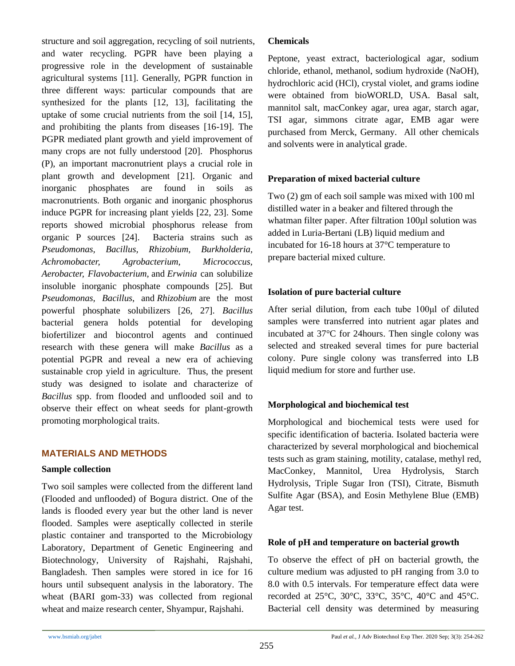structure and soil aggregation, recycling of soil nutrients, and water recycling. PGPR have been playing a progressive role in the development of sustainable agricultural systems [11]. Generally, PGPR function in three different ways: particular compounds that are synthesized for the plants [12, 13], facilitating the uptake of some crucial nutrients from the soil [14, 15], and prohibiting the plants from diseases [16-19]. The PGPR mediated plant growth and yield improvement of many crops are not fully understood [20]. Phosphorus (P), an important macronutrient plays a crucial role in plant growth and development [21]. Organic and inorganic phosphates are found in soils as macronutrients. Both organic and inorganic phosphorus induce PGPR for increasing plant yields [22, 23]. Some reports showed microbial phosphorus release from organic P sources [24]. Bacteria strains such as *Pseudomonas, Bacillus, Rhizobium, Burkholderia, Achromobacter, Agrobacterium, Micrococcus, Aerobacter, Flavobacterium,* and *Erwinia* can solubilize insoluble inorganic phosphate compounds [25]. But *Pseudomonas, Bacillus*, and *Rhizobium* are the most powerful phosphate solubilizers [26, 27]. *Bacillus* bacterial genera holds potential for developing biofertilizer and biocontrol agents and continued research with these genera will make *Bacillus* as a potential PGPR and reveal a new era of achieving sustainable crop yield in agriculture. Thus, the present study was designed to isolate and characterize of *Bacillus* spp. from flooded and unflooded soil and to observe their effect on wheat seeds for plant-growth promoting morphological traits.

### **MATERIALS AND METHODS**

#### **Sample collection**

Two soil samples were collected from the different land (Flooded and unflooded) of Bogura district. One of the lands is flooded every year but the other land is never flooded. Samples were aseptically collected in sterile plastic container and transported to the Microbiology Laboratory, Department of Genetic Engineering and Biotechnology, University of Rajshahi, Rajshahi, Bangladesh. Then samples were stored in ice for 16 hours until subsequent analysis in the laboratory. The wheat (BARI gom-33) was collected from regional wheat and maize research center, Shyampur, Rajshahi.

### **Chemicals**

Peptone, yeast extract, bacteriological agar, sodium chloride, ethanol, methanol, sodium hydroxide (NaOH), hydrochloric acid (HCl), crystal violet, and grams iodine were obtained from bioWORLD, USA. Basal salt, mannitol salt, macConkey agar, urea agar, starch agar, TSI agar, simmons citrate agar, EMB agar were purchased from Merck, Germany. All other chemicals and solvents were in analytical grade.

### **Preparation of mixed bacterial culture**

Two (2) gm of each soil sample was mixed with 100 ml distilled water in a beaker and filtered through the whatman filter paper. After filtration 100µl solution was added in Luria-Bertani (LB) liquid medium and incubated for 16-18 hours at 37°C temperature to prepare bacterial mixed culture.

### **Isolation of pure bacterial culture**

After serial dilution, from each tube 100μl of diluted samples were transferred into nutrient agar plates and incubated at 37°C for 24hours. Then single colony was selected and streaked several times for pure bacterial colony. Pure single colony was transferred into LB liquid medium for store and further use.

# **Morphological and biochemical test**

Morphological and biochemical tests were used for specific identification of bacteria. Isolated bacteria were characterized by several morphological and biochemical tests such as gram staining, motility, catalase, methyl red, MacConkey, Mannitol, Urea Hydrolysis, Starch Hydrolysis, Triple Sugar Iron (TSI), Citrate, Bismuth Sulfite Agar (BSA), and Eosin Methylene Blue (EMB) Agar test.

### **Role of pH and temperature on bacterial growth**

To observe the effect of pH on bacterial growth, the culture medium was adjusted to pH ranging from 3.0 to 8.0 with 0.5 intervals. For temperature effect data were recorded at 25°C, 30°C, 33°C, 35°C, 40°C and 45°C. Bacterial cell density was determined by measuring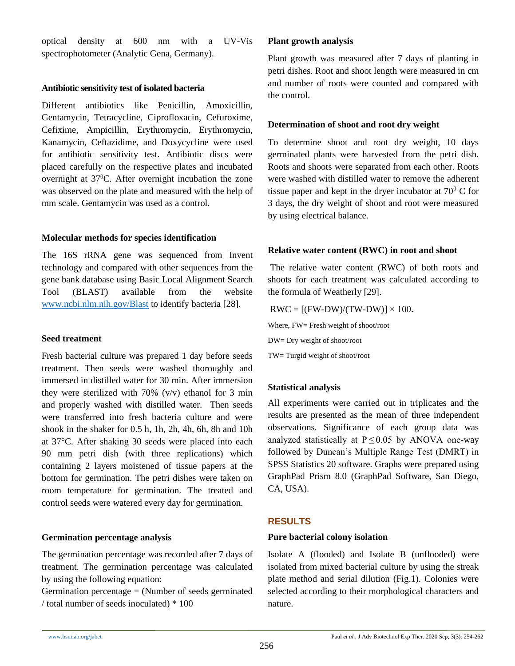optical density at 600 nm with a UV-Vis spectrophotometer (Analytic Gena, Germany).

#### **Antibiotic sensitivity test of isolated bacteria**

Different antibiotics like Penicillin, Amoxicillin, Gentamycin, Tetracycline, Ciprofloxacin, Cefuroxime, Cefixime, Ampicillin, Erythromycin, Erythromycin, Kanamycin, Ceftazidime, and Doxycycline were used for antibiotic sensitivity test. Antibiotic discs were placed carefully on the respective plates and incubated overnight at  $37^{\circ}$ C. After overnight incubation the zone was observed on the plate and measured with the help of mm scale. Gentamycin was used as a control.

### **Molecular methods for species identification**

The 16S rRNA gene was sequenced from Invent technology and compared with other sequences from the gene bank database using Basic Local Alignment Search Tool (BLAST) available from the website [www.ncbi.nlm.nih.gov/Blast](http://www.ncbi.nlm.nih.gov/Blast) to identify bacteria [28].

### **Seed treatment**

Fresh bacterial culture was prepared 1 day before seeds treatment. Then seeds were washed thoroughly and immersed in distilled water for 30 min. After immersion they were sterilized with 70%  $(v/v)$  ethanol for 3 min and properly washed with distilled water. Then seeds were transferred into fresh bacteria culture and were shook in the shaker for 0.5 h, 1h, 2h, 4h, 6h, 8h and 10h at 37°C. After shaking 30 seeds were placed into each 90 mm petri dish (with three replications) which containing 2 layers moistened of tissue papers at the bottom for germination. The petri dishes were taken on room temperature for germination. The treated and control seeds were watered every day for germination.

#### **Germination percentage analysis**

The germination percentage was recorded after 7 days of treatment. The germination percentage was calculated by using the following equation:

Germination percentage  $=$  (Number of seeds germinated / total number of seeds inoculated) \* 100

#### **Plant growth analysis**

Plant growth was measured after 7 days of planting in petri dishes. Root and shoot length were measured in cm and number of roots were counted and compared with the control.

### **Determination of shoot and root dry weight**

To determine shoot and root dry weight, 10 days germinated plants were harvested from the petri dish. Roots and shoots were separated from each other. Roots were washed with distilled water to remove the adherent tissue paper and kept in the dryer incubator at  $70^{\circ}$  C for 3 days, the dry weight of shoot and root were measured by using electrical balance.

### **Relative water content (RWC) in root and shoot**

The relative water content (RWC) of both roots and shoots for each treatment was calculated according to the formula of Weatherly [29].

 $RWC = [(FW-DW)/(TW-DW)] \times 100.$ 

Where, FW= Fresh weight of shoot/root

DW= Dry weight of shoot/root

TW= Turgid weight of shoot/root

### **Statistical analysis**

All experiments were carried out in triplicates and the results are presented as the mean of three independent observations. Significance of each group data was analyzed statistically at  $P \le 0.05$  by ANOVA one-way followed by Duncan's Multiple Range Test (DMRT) in SPSS Statistics 20 software. Graphs were prepared using GraphPad Prism 8.0 (GraphPad Software, San Diego, CA, USA).

### **RESULTS**

#### **Pure bacterial colony isolation**

Isolate A (flooded) and Isolate B (unflooded) were isolated from mixed bacterial culture by using the streak plate method and serial dilution (Fig.1). Colonies were selected according to their morphological characters and nature.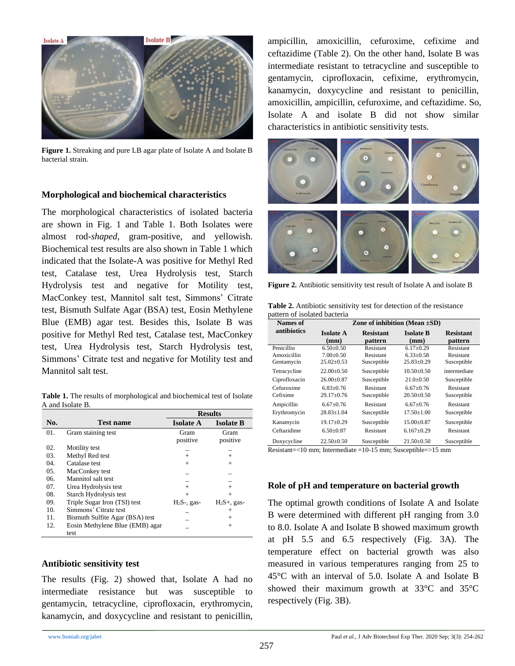

**Figure 1.** Streaking and pure LB agar plate of Isolate A and Isolate B bacterial strain.

#### **Morphological and biochemical characteristics**

The morphological characteristics of isolated bacteria are shown in Fig. 1 and Table 1. Both Isolates were almost rod-*shaped,* gram-positive, and yellowish. Biochemical test results are also shown in Table 1 which indicated that the Isolate-A was positive for Methyl Red test, Catalase test, Urea Hydrolysis test, Starch Hydrolysis test and negative for Motility test, MacConkey test, Mannitol salt test, Simmons' Citrate test, Bismuth Sulfate Agar (BSA) test, Eosin Methylene Blue (EMB) agar test. Besides this, Isolate B was positive for Methyl Red test, Catalase test, MacConkey test, Urea Hydrolysis test, Starch Hydrolysis test, Simmons' Citrate test and negative for Motility test and Mannitol salt test.

**Table 1.** The results of morphological and biochemical test of Isolate A and Isolate B.

|     |                                 | <b>Results</b>   |                  |
|-----|---------------------------------|------------------|------------------|
| No. | <b>Test name</b>                | <b>Isolate A</b> | <b>Isolate B</b> |
| 01. | Gram staining test              | Gram             | Gram             |
|     |                                 | positive         | positive         |
| 02. | Motility test                   |                  |                  |
| 03. | Methyl Red test                 | $^{+}$           | $^{+}$           |
| 04. | Catalase test                   | $^{+}$           | $^{+}$           |
| 05. | MacConkey test                  |                  |                  |
| 06. | Mannitol salt test              |                  |                  |
| 07. | Urea Hydrolysis test            | $^{+}$           | $^{+}$           |
| 08. | Starch Hydrolysis test          | $^{+}$           | $^{+}$           |
| 09. | Triple Sugar Iron (TSI) test    | $H_2S$ -, gas-   | $H_2S+$ , gas-   |
| 10. | Simmons' Citrate test           |                  | $+$              |
| 11. | Bismuth Sulfite Agar (BSA) test |                  | $^{+}$           |
| 12. | Eosin Methylene Blue (EMB) agar |                  | $^{+}$           |
|     | test                            |                  |                  |

#### **Antibiotic sensitivity test**

The results (Fig. 2) showed that, Isolate A had no intermediate resistance but was susceptible to gentamycin, tetracycline, ciprofloxacin, erythromycin, kanamycin, and doxycycline and resistant to penicillin, ampicillin, amoxicillin, cefuroxime, cefixime and ceftazidime (Table 2). On the other hand, Isolate B was intermediate resistant to tetracycline and susceptible to gentamycin, ciprofloxacin, cefixime, erythromycin, kanamycin, doxycycline and resistant to penicillin, amoxicillin, ampicillin, cefuroxime, and ceftazidime. So, Isolate A and isolate B did not show similar characteristics in antibiotic sensitivity tests.



**Figure 2.** Antibiotic sensitivity test result of Isolate A and isolate B

**Table 2.** Antibiotic sensitivity test for detection of the resistance pattern of isolated bacteria

| <b>Names of</b> | $\ldots$ of hoofdiver bacterial<br>Zone of inhibition (Mean $\pm SD$ ) |                  |                  |                  |
|-----------------|------------------------------------------------------------------------|------------------|------------------|------------------|
| antibiotics     | <b>Isolate A</b>                                                       | <b>Resistant</b> | <b>Isolate B</b> | <b>Resistant</b> |
|                 | (mm)                                                                   | pattern          | (mm)             | pattern          |
| Penicillin      | $6.50 \pm 0.50$                                                        | Resistant        | $6.17 \pm 0.29$  | Resistant        |
| Amoxicillin     | $7.00 \pm 0.50$                                                        | Resistant        | $6.33 \pm 0.58$  | Resistant        |
| Gentamycin      | $25.02 \pm 0.53$                                                       | Susceptible      | $25.83 \pm 0.29$ | Susceptible      |
| Tetracycline    | $22.00 \pm 0.50$                                                       | Susceptible      | $10.50 \pm 0.50$ | intermediate     |
| Ciprofloxacin   | $26.00 \pm 0.87$                                                       | Susceptible      | $21.0 \pm 0.50$  | Susceptible      |
| Cefuroxime      | $6.83 + 0.76$                                                          | Resistant        | $6.67 + 0.76$    | Resistant        |
| Cefixime        | $29.17 \pm 0.76$                                                       | Susceptible      | $20.50 \pm 0.50$ | Susceptible      |
| Ampicillin      | $6.67 \pm 0.76$                                                        | Resistant        | $6.67 \pm 0.76$  | Resistant        |
| Erythromycin    | $28.83 \pm 1.04$                                                       | Susceptible      | $17.50 \pm 1.00$ | Susceptible      |
| Kanamycin       | $19.17 \pm 0.29$                                                       | Susceptible      | $15.00 \pm 0.87$ | Susceptible      |
| Ceftazidime     | $6.50 \pm 0.87$                                                        | Resistant        | $6.167 \pm 0.29$ | Resistant        |
| Doxycycline     | $22.50 \pm 0.50$                                                       | Susceptible      | $21.50 \pm 0.50$ | Susceptible      |

Resistant=<10 mm; Intermediate =10-15 mm; Susceptible=>15 mm

#### **Role of pH and temperature on bacterial growth**

The optimal growth conditions of Isolate A and Isolate B were determined with different pH ranging from 3.0 to 8.0. Isolate A and Isolate B showed maximum growth at pH 5.5 and 6.5 respectively (Fig. 3A). The temperature effect on bacterial growth was also measured in various temperatures ranging from 25 to 45°C with an interval of 5.0. Isolate A and Isolate B showed their maximum growth at 33°C and 35°C respectively (Fig. 3B).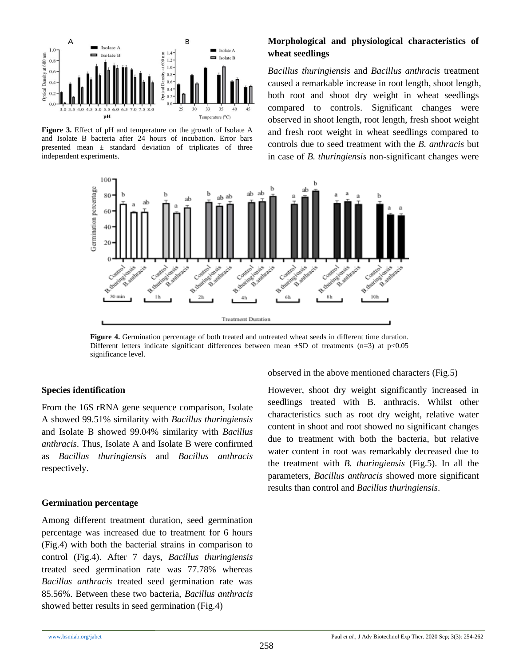

**Figure 3.** Effect of pH and temperature on the growth of Isolate A and Isolate B bacteria after 24 hours of incubation. Error bars presented mean ± standard deviation of triplicates of three independent experiments.

## **Morphological and physiological characteristics of wheat seedlings**

*Bacillus thuringiensis* and *Bacillus anthracis* treatment caused a remarkable increase in root length, shoot length, both root and shoot dry weight in wheat seedlings compared to controls. Significant changes were observed in shoot length, root length, fresh shoot weight and fresh root weight in wheat seedlings compared to controls due to seed treatment with the *B. anthracis* but in case of *B. thuringiensis* non-significant changes were



**Figure 4.** Germination percentage of both treated and untreated wheat seeds in different time duration. Different letters indicate significant differences between mean  $\pm SD$  of treatments (n=3) at p<0.05 significance level.

#### **Species identification**

From the 16S rRNA gene sequence comparison, Isolate A showed 99.51% similarity with *Bacillus thuringiensis*  and Isolate B showed 99.04% similarity with *Bacillus anthracis*. Thus, Isolate A and Isolate B were confirmed as *Bacillus thuringiensis* and *Bacillus anthracis* respectively.

#### **Germination percentage**

Among different treatment duration, seed germination percentage was increased due to treatment for 6 hours (Fig.4) with both the bacterial strains in comparison to control (Fig.4). After 7 days, *Bacillus thuringiensis*  treated seed germination rate was 77.78% whereas *Bacillus anthracis* treated seed germination rate was 85.56%. Between these two bacteria, *Bacillus anthracis* showed better results in seed germination (Fig.4)

observed in the above mentioned characters (Fig.5)

However, shoot dry weight significantly increased in seedlings treated with B. anthracis. Whilst other characteristics such as root dry weight, relative water content in shoot and root showed no significant changes due to treatment with both the bacteria, but relative water content in root was remarkably decreased due to the treatment with *B. thuringiensis* (Fig.5). In all the parameters, *Bacillus anthracis* showed more significant results than control and *Bacillus thuringiensis*.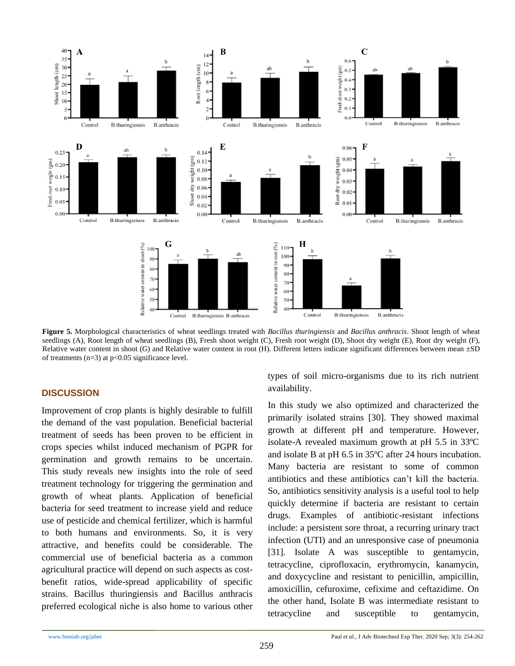

**Figure 5.** Morphological characteristics of wheat seedlings treated with *Bacillus thuringiensis* and *Bacillus anthracis*. Shoot length of wheat seedlings (A), Root length of wheat seedlings (B), Fresh shoot weight (C), Fresh root weight (D), Shoot dry weight (E), Root dry weight (F), Relative water content in shoot (G) and Relative water content in root (H). Different letters indicate significant differences between mean  $\pm SD$ of treatments  $(n=3)$  at  $p<0.05$  significance level.

#### **DISCUSSION**

Improvement of crop plants is highly desirable to fulfill the demand of the vast population. Beneficial bacterial treatment of seeds has been proven to be efficient in crops species whilst induced mechanism of PGPR for germination and growth remains to be uncertain. This study reveals new insights into the role of seed treatment technology for triggering the germination and growth of wheat plants. Application of beneficial bacteria for seed treatment to increase yield and reduce use of pesticide and chemical fertilizer, which is harmful to both humans and environments. So, it is very attractive, and benefits could be considerable. The commercial use of beneficial bacteria as a common agricultural practice will depend on such aspects as costbenefit ratios, wide-spread applicability of specific strains. Bacillus thuringiensis and Bacillus anthracis preferred ecological niche is also home to various other

types of soil micro-organisms due to its rich nutrient availability.

In this study we also optimized and characterized the primarily isolated strains [30]. They showed maximal growth at different pH and temperature. However, isolate-A revealed maximum growth at pH 5.5 in 33ºC and isolate B at pH 6.5 in 35ºC after 24 hours incubation. Many bacteria are resistant to some of common antibiotics and these antibiotics can't kill the bacteria. So, antibiotics sensitivity analysis is a useful tool to help quickly determine if bacteria are resistant to certain drugs. Examples of antibiotic-resistant infections include: a persistent sore throat, a recurring urinary tract infection (UTI) and an unresponsive case of pneumonia [31]. Isolate A was susceptible to gentamycin, tetracycline, ciprofloxacin, erythromycin, kanamycin, and doxycycline and resistant to penicillin, ampicillin, amoxicillin, cefuroxime, cefixime and ceftazidime. On the other hand, Isolate B was intermediate resistant to tetracycline and susceptible to gentamycin,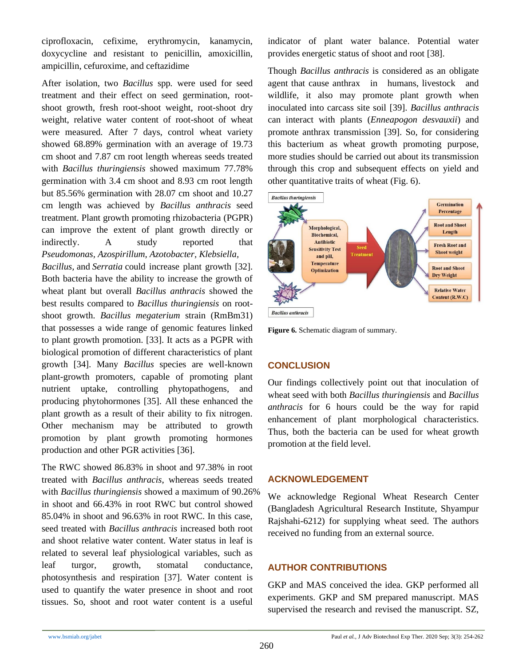ciprofloxacin, cefixime, erythromycin, kanamycin, doxycycline and resistant to penicillin, amoxicillin, ampicillin, cefuroxime, and ceftazidime

After isolation, two *Bacillus* spp*.* were used for seed treatment and their effect on seed germination, rootshoot growth, fresh root-shoot weight, root-shoot dry weight, relative water content of root-shoot of wheat were measured. After 7 days, control wheat variety showed 68.89% germination with an average of 19.73 cm shoot and 7.87 cm root length whereas seeds treated with *Bacillus thuringiensis* showed maximum 77.78% germination with 3.4 cm shoot and 8.93 cm root length but 85.56% germination with 28.07 cm shoot and 10.27 cm length was achieved by *Bacillus anthracis* seed treatment. Plant growth promoting rhizobacteria (PGPR) can improve the extent of plant growth directly or indirectly. A study reported that *Pseudomonas, Azospirillum, Azotobacter, Klebsiella, Bacillus,* and *Serratia* could increase plant growth [32]. Both bacteria have the ability to increase the growth of wheat plant but overall *Bacillus anthracis* showed the best results compared to *Bacillus thuringiensis* on rootshoot growth. *Bacillus megaterium* strain (RmBm31) that possesses a wide range of genomic features linked to plant growth promotion. [33]. It acts as a PGPR with biological promotion of different characteristics of plant growth [34]. Many *Bacillus* species are well-known plant-growth promoters, capable of promoting plant nutrient uptake, controlling phytopathogens, and producing phytohormones [35]. All these enhanced the plant growth as a result of their ability to fix nitrogen. Other mechanism may be attributed to growth promotion by plant growth promoting hormones production and other PGR activities [36].

The RWC showed 86.83% in shoot and 97.38% in root treated with *Bacillus anthracis*, whereas seeds treated with *Bacillus thuringiensis* showed a maximum of 90.26% in shoot and 66.43% in root RWC but control showed 85.04% in shoot and 96.63% in root RWC. In this case, seed treated with *Bacillus anthracis* increased both root and shoot relative water content. Water status in leaf is related to several leaf physiological variables, such as leaf turgor, growth, stomatal conductance, photosynthesis and respiration [37]. Water content is used to quantify the water presence in shoot and root tissues. So, shoot and root water content is a useful

indicator of plant water balance. Potential water provides energetic status of shoot and root [38].

Though *Bacillus anthracis* is considered as an obligate agent that cause anthrax in humans, livestock and wildlife, it also may promote plant growth when inoculated into carcass site soil [39]. *Bacillus anthracis* can interact with plants (*Enneapogon desvauxii*) and promote anthrax transmission [39]. So, for considering this bacterium as wheat growth promoting purpose, more studies should be carried out about its transmission through this crop and subsequent effects on yield and other quantitative traits of wheat (Fig. 6).



**Figure 6.** Schematic diagram of summary.

# **CONCLUSION**

Our findings collectively point out that inoculation of wheat seed with both *Bacillus thuringiensis* and *Bacillus anthracis* for 6 hours could be the way for rapid enhancement of plant morphological characteristics. Thus, both the bacteria can be used for wheat growth promotion at the field level.

# **ACKNOWLEDGEMENT**

We acknowledge Regional Wheat Research Center (Bangladesh Agricultural Research Institute, Shyampur Rajshahi-6212) for supplying wheat seed. The authors received no funding from an external source.

# **AUTHOR CONTRIBUTIONS**

GKP and MAS conceived the idea. GKP performed all experiments. GKP and SM prepared manuscript. MAS supervised the research and revised the manuscript. SZ,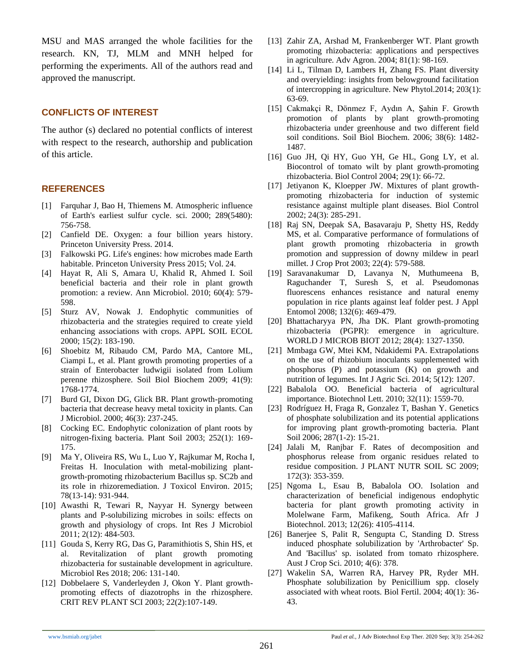MSU and MAS arranged the whole facilities for the research. KN, TJ, MLM and MNH helped for performing the experiments. All of the authors read and approved the manuscript.

### **CONFLICTS OF INTEREST**

The author (s) declared no potential conflicts of interest with respect to the research, authorship and publication of this article.

#### **REFERENCES**

- [1] Farquhar J, Bao H, Thiemens M. Atmospheric influence of Earth's earliest sulfur cycle. sci. 2000; 289(5480): 756-758.
- [2] Canfield DE. Oxygen: a four billion years history. Princeton University Press. 2014.
- [3] Falkowski PG. Life's engines: how microbes made Earth habitable. Princeton University Press 2015; Vol. 24.
- [4] Hayat R, Ali S, Amara U, Khalid R, Ahmed I. Soil beneficial bacteria and their role in plant growth promotion: a review. Ann Microbiol. 2010; 60(4): 579- 598.
- [5] Sturz AV, Nowak J. Endophytic communities of rhizobacteria and the strategies required to create yield enhancing associations with crops. APPL SOIL ECOL 2000; 15(2): 183-190.
- [6] Shoebitz M, Ribaudo CM, Pardo MA, Cantore ML, Ciampi L, et al. Plant growth promoting properties of a strain of Enterobacter ludwigii isolated from Lolium perenne rhizosphere. Soil Biol Biochem 2009; 41(9): 1768-1774.
- [7] Burd GI, Dixon DG, Glick BR. Plant growth-promoting bacteria that decrease heavy metal toxicity in plants. Can J Microbiol. 2000; 46(3): 237-245.
- [8] Cocking EC. Endophytic colonization of plant roots by nitrogen-fixing bacteria. Plant Soil 2003; 252(1): 169- 175.
- [9] Ma Y, Oliveira RS, Wu L, Luo Y, Rajkumar M, Rocha I, Freitas H. Inoculation with metal-mobilizing plantgrowth-promoting rhizobacterium Bacillus sp. SC2b and its role in rhizoremediation. J Toxicol Environ. 2015; 78(13-14): 931-944.
- [10] Awasthi R, Tewari R, Nayyar H. Synergy between plants and P-solubilizing microbes in soils: effects on growth and physiology of crops. Int Res J Microbiol 2011; 2(12): 484-503.
- [11] Gouda S, Kerry RG, Das G, Paramithiotis S, Shin HS, et al. Revitalization of plant growth promoting rhizobacteria for sustainable development in agriculture. Microbiol Res 2018; 206: 131-140.
- [12] Dobbelaere S, Vanderleyden J, Okon Y. Plant growthpromoting effects of diazotrophs in the rhizosphere. CRIT REV PLANT SCI 2003; 22(2):107-149.
- [13] Zahir ZA, Arshad M, Frankenberger WT. Plant growth promoting rhizobacteria: applications and perspectives in agriculture. Adv Agron. 2004; 81(1): 98-169.
- [14] Li L, Tilman D, Lambers H, Zhang FS. Plant diversity and overyielding: insights from belowground facilitation of intercropping in agriculture. New Phytol.2014; 203(1): 63-69.
- [15] Cakmakçi R, Dönmez F, Aydın A, Şahin F. Growth promotion of plants by plant growth-promoting rhizobacteria under greenhouse and two different field soil conditions. Soil Biol Biochem. 2006; 38(6): 1482-1487.
- [16] Guo JH, Qi HY, Guo YH, Ge HL, Gong LY, et al. Biocontrol of tomato wilt by plant growth-promoting rhizobacteria. Biol Control 2004; 29(1): 66-72.
- [17] Jetiyanon K, Kloepper JW. Mixtures of plant growthpromoting rhizobacteria for induction of systemic resistance against multiple plant diseases. Biol Control 2002; 24(3): 285-291.
- [18] Raj SN, Deepak SA, Basavaraju P, Shetty HS, Reddy MS, et al. Comparative performance of formulations of plant growth promoting rhizobacteria in growth promotion and suppression of downy mildew in pearl millet. J Crop Prot 2003; 22(4): 579-588.
- [19] Saravanakumar D, Lavanya N, Muthumeena B, Raguchander T, Suresh S, et al. Pseudomonas fluorescens enhances resistance and natural enemy population in rice plants against leaf folder pest. J Appl Entomol 2008; 132(6): 469-479.
- [20] Bhattacharyya PN, Jha DK. Plant growth-promoting rhizobacteria (PGPR): emergence in agriculture. WORLD J MICROB BIOT 2012; 28(4): 1327-1350.
- [21] Mmbaga GW, Mtei KM, Ndakidemi PA. Extrapolations on the use of rhizobium inoculants supplemented with phosphorus (P) and potassium (K) on growth and nutrition of legumes. Int J Agric Sci. 2014; 5(12): 1207.
- [22] Babalola OO. Beneficial bacteria of agricultural importance. Biotechnol Lett. 2010; 32(11): 1559-70.
- [23] Rodríguez H, Fraga R, Gonzalez T, Bashan Y. Genetics of phosphate solubilization and its potential applications for improving plant growth-promoting bacteria. Plant Soil 2006; 287(1-2): 15-21.
- [24] Jalali M, Ranjbar F. Rates of decomposition and phosphorus release from organic residues related to residue composition. J PLANT NUTR SOIL SC 2009; 172(3): 353-359.
- [25] Ngoma L, Esau B, Babalola OO. Isolation and characterization of beneficial indigenous endophytic bacteria for plant growth promoting activity in Molelwane Farm, Mafikeng, South Africa. Afr J Biotechnol. 2013; 12(26): 4105-4114.
- [26] Banerjee S, Palit R, Sengupta C, Standing D. Stress induced phosphate solubilization by 'Arthrobacter' Sp. And 'Bacillus' sp. isolated from tomato rhizosphere. Aust J Crop Sci. 2010; 4(6): 378.
- [27] Wakelin SA, Warren RA, Harvey PR, Ryder MH. Phosphate solubilization by Penicillium spp. closely associated with wheat roots. Biol Fertil. 2004; 40(1): 36- 43.